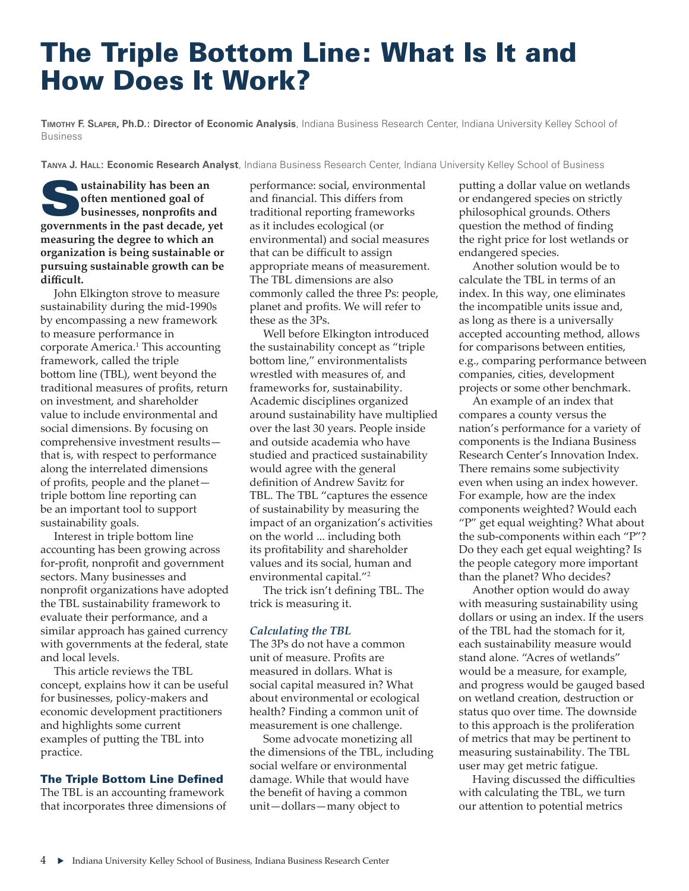# The Triple Bottom Line: What Is It and How Does It Work?

**Timothy F. Slaper, Ph.D.: Director of Economic Analysis**, Indiana Business Research Center, Indiana University Kelley School of Business

**Tanya J. Hall: Economic Research Analyst**, Indiana Business Research Center, Indiana University Kelley School of Business

**was a** *ustainability* has been an **often mentioned goal of businesses, nonprofits and governments in the past decade, yet measuring the degree to which an organization is being sustainable or pursuing sustainable growth can be difficult.**

John Elkington strove to measure sustainability during the mid-1990s by encompassing a new framework to measure performance in corporate America.<sup>1</sup> This accounting framework, called the triple bottom line (TBL), went beyond the traditional measures of profits, return on investment, and shareholder value to include environmental and social dimensions. By focusing on comprehensive investment results that is, with respect to performance along the interrelated dimensions of profits, people and the planet triple bottom line reporting can be an important tool to support sustainability goals.

Interest in triple bottom line accounting has been growing across for-profit, nonprofit and government sectors. Many businesses and nonprofit organizations have adopted the TBL sustainability framework to evaluate their performance, and a similar approach has gained currency with governments at the federal, state and local levels.

This article reviews the TBL concept, explains how it can be useful for businesses, policy-makers and economic development practitioners and highlights some current examples of putting the TBL into practice.

# The Triple Bottom Line Defined

The TBL is an accounting framework that incorporates three dimensions of performance: social, environmental and financial. This differs from traditional reporting frameworks as it includes ecological (or environmental) and social measures that can be difficult to assign appropriate means of measurement. The TBL dimensions are also commonly called the three Ps: people, planet and profits. We will refer to these as the 3Ps.

Well before Elkington introduced the sustainability concept as "triple bottom line," environmentalists wrestled with measures of, and frameworks for, sustainability. Academic disciplines organized around sustainability have multiplied over the last 30 years. People inside and outside academia who have studied and practiced sustainability would agree with the general definition of Andrew Savitz for TBL. The TBL "captures the essence of sustainability by measuring the impact of an organization's activities on the world ... including both its profitability and shareholder values and its social, human and environmental capital."<sup>2</sup>

The trick isn't defining TBL. The trick is measuring it.

# *Calculating the TBL*

The 3Ps do not have a common unit of measure. Profits are measured in dollars. What is social capital measured in? What about environmental or ecological health? Finding a common unit of measurement is one challenge.

Some advocate monetizing all the dimensions of the TBL, including social welfare or environmental damage. While that would have the benefit of having a common unit—dollars—many object to

putting a dollar value on wetlands or endangered species on strictly philosophical grounds. Others question the method of finding the right price for lost wetlands or endangered species.

Another solution would be to calculate the TBL in terms of an index. In this way, one eliminates the incompatible units issue and, as long as there is a universally accepted accounting method, allows for comparisons between entities, e.g., comparing performance between companies, cities, development projects or some other benchmark.

An example of an index that compares a county versus the nation's performance for a variety of components is the Indiana Business Research Center's Innovation Index. There remains some subjectivity even when using an index however. For example, how are the index components weighted? Would each "P" get equal weighting? What about the sub-components within each "P"? Do they each get equal weighting? Is the people category more important than the planet? Who decides?

Another option would do away with measuring sustainability using dollars or using an index. If the users of the TBL had the stomach for it, each sustainability measure would stand alone. "Acres of wetlands" would be a measure, for example, and progress would be gauged based on wetland creation, destruction or status quo over time. The downside to this approach is the proliferation of metrics that may be pertinent to measuring sustainability. The TBL user may get metric fatigue.

Having discussed the difficulties with calculating the TBL, we turn our attention to potential metrics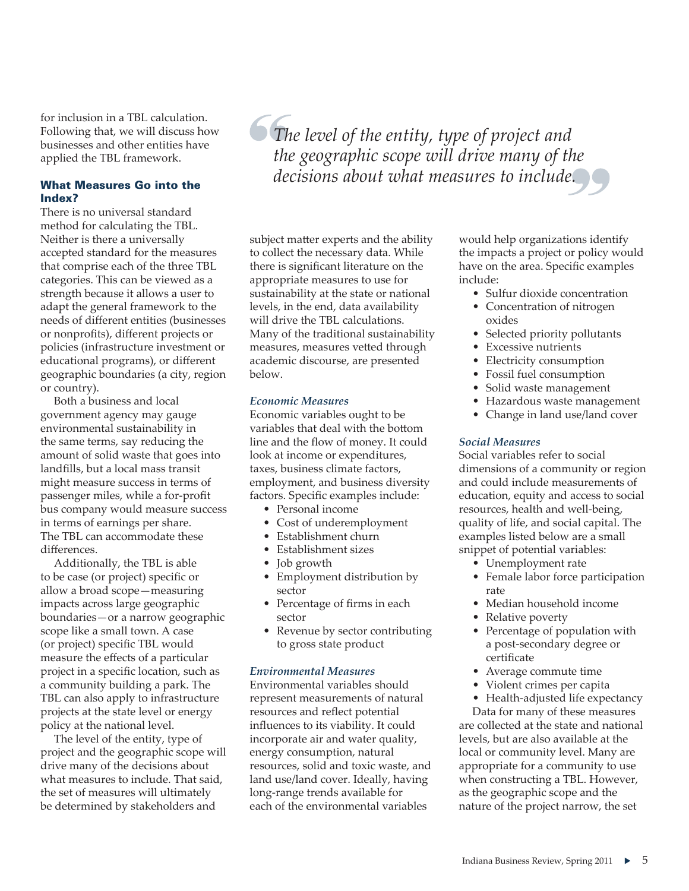for inclusion in a TBL calculation. Following that, we will discuss how businesses and other entities have applied the TBL framework.

# What Measures Go into the Index?

There is no universal standard method for calculating the TBL. Neither is there a universally accepted standard for the measures that comprise each of the three TBL categories. This can be viewed as a strength because it allows a user to adapt the general framework to the needs of different entities (businesses or nonprofits), different projects or policies (infrastructure investment or educational programs), or different geographic boundaries (a city, region or country).

Both a business and local government agency may gauge environmental sustainability in the same terms, say reducing the amount of solid waste that goes into landfills, but a local mass transit might measure success in terms of passenger miles, while a for-profit bus company would measure success in terms of earnings per share. The TBL can accommodate these differences.

Additionally, the TBL is able to be case (or project) specific or allow a broad scope—measuring impacts across large geographic boundaries—or a narrow geographic scope like a small town. A case (or project) specific TBL would measure the effects of a particular project in a specific location, such as a community building a park. The TBL can also apply to infrastructure projects at the state level or energy policy at the national level.

The level of the entity, type of project and the geographic scope will drive many of the decisions about what measures to include. That said, the set of measures will ultimately be determined by stakeholders and

*The level of the entity, type of project and the geographic scope will drive many of the decisions about what measures to include.*

subject matter experts and the ability to collect the necessary data. While there is significant literature on the appropriate measures to use for sustainability at the state or national levels, in the end, data availability will drive the TBL calculations. Many of the traditional sustainability measures, measures vetted through academic discourse, are presented below.

# *Economic Measures*

Economic variables ought to be variables that deal with the bottom line and the flow of money. It could look at income or expenditures, taxes, business climate factors, employment, and business diversity factors. Specific examples include:

- Personal income
- Cost of underemployment
- Establishment churn
- Establishment sizes
- Job growth
- Employment distribution by sector
- Percentage of firms in each sector
- Revenue by sector contributing to gross state product

## *Environmental Measures*

Environmental variables should represent measurements of natural resources and reflect potential influences to its viability. It could incorporate air and water quality, energy consumption, natural resources, solid and toxic waste, and land use/land cover. Ideally, having long-range trends available for each of the environmental variables

would help organizations identify the impacts a project or policy would have on the area. Specific examples include:

- Sulfur dioxide concentration
- Concentration of nitrogen oxides
- Selected priority pollutants
- Excessive nutrients
- Electricity consumption
- Fossil fuel consumption
- Solid waste management
- Hazardous waste management
- Change in land use/land cover

# *Social Measures*

Social variables refer to social dimensions of a community or region and could include measurements of education, equity and access to social resources, health and well-being, quality of life, and social capital. The examples listed below are a small snippet of potential variables:

- Unemployment rate
- Female labor force participation rate
- Median household income
- Relative poverty
- Percentage of population with a post-secondary degree or certificate
- Average commute time
- Violent crimes per capita
- Health-adjusted life expectancy

Data for many of these measures are collected at the state and national levels, but are also available at the local or community level. Many are appropriate for a community to use when constructing a TBL. However, as the geographic scope and the nature of the project narrow, the set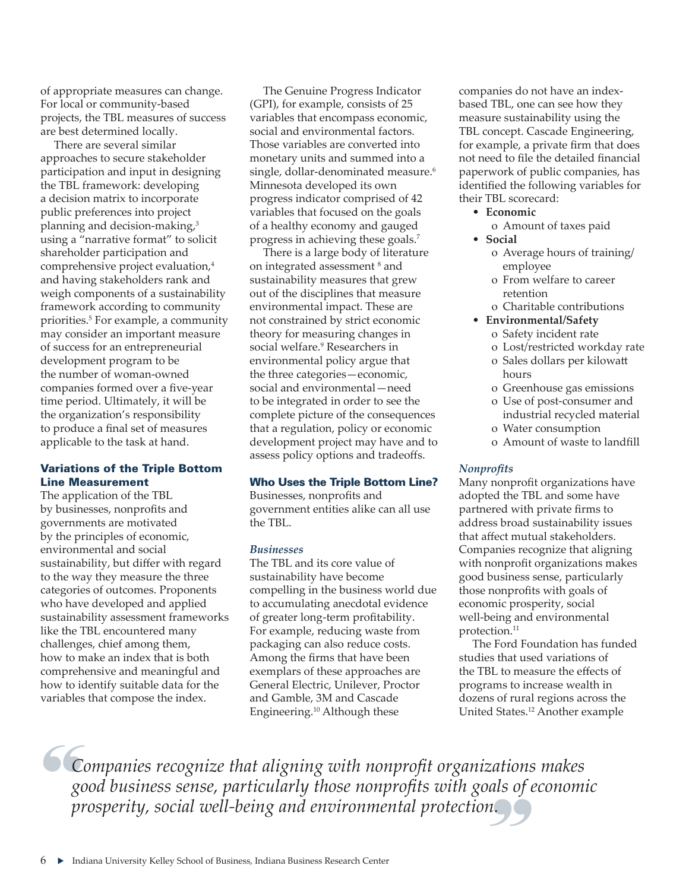of appropriate measures can change. For local or community-based projects, the TBL measures of success are best determined locally.

There are several similar approaches to secure stakeholder participation and input in designing the TBL framework: developing a decision matrix to incorporate public preferences into project planning and decision-making,<sup>3</sup> using a "narrative format" to solicit shareholder participation and comprehensive project evaluation,<sup>4</sup> and having stakeholders rank and weigh components of a sustainability framework according to community priorities.<sup>5</sup> For example, a community may consider an important measure of success for an entrepreneurial development program to be the number of woman-owned companies formed over a five-year time period. Ultimately, it will be the organization's responsibility to produce a final set of measures applicable to the task at hand.

# Variations of the Triple Bottom Line Measurement

The application of the TBL by businesses, nonprofits and governments are motivated by the principles of economic, environmental and social sustainability, but differ with regard to the way they measure the three categories of outcomes. Proponents who have developed and applied sustainability assessment frameworks like the TBL encountered many challenges, chief among them, how to make an index that is both comprehensive and meaningful and how to identify suitable data for the variables that compose the index.

The Genuine Progress Indicator (GPI), for example, consists of 25 variables that encompass economic, social and environmental factors. Those variables are converted into monetary units and summed into a single, dollar-denominated measure.<sup>6</sup> Minnesota developed its own progress indicator comprised of 42 variables that focused on the goals of a healthy economy and gauged progress in achieving these goals.7

There is a large body of literature on integrated assessment<sup>8</sup> and sustainability measures that grew out of the disciplines that measure environmental impact. These are not constrained by strict economic theory for measuring changes in social welfare.9 Researchers in environmental policy argue that the three categories—economic, social and environmental—need to be integrated in order to see the complete picture of the consequences that a regulation, policy or economic development project may have and to assess policy options and tradeoffs.

## Who Uses the Triple Bottom Line?

Businesses, nonprofits and government entities alike can all use the TBL.

#### *Businesses*

The TBL and its core value of sustainability have become compelling in the business world due to accumulating anecdotal evidence of greater long-term profitability. For example, reducing waste from packaging can also reduce costs. Among the firms that have been exemplars of these approaches are General Electric, Unilever, Proctor and Gamble, 3M and Cascade Engineering.10 Although these

companies do not have an indexbased TBL, one can see how they measure sustainability using the TBL concept. Cascade Engineering, for example, a private firm that does not need to file the detailed financial paperwork of public companies, has identified the following variables for their TBL scorecard:

- **Economic**
- o Amount of taxes paid • **Social**
	- o Average hours of training/ employee
	- o From welfare to career retention
	- o Charitable contributions
- **Environmental/Safety**
	- o Safety incident rate
	- o Lost/restricted workday rate
	- o Sales dollars per kilowatt hours
	- o Greenhouse gas emissions
	- o Use of post-consumer and industrial recycled material
	- o Water consumption
	- o Amount of waste to landfill

## *Nonprofits*

Many nonprofit organizations have adopted the TBL and some have partnered with private firms to address broad sustainability issues that affect mutual stakeholders. Companies recognize that aligning with nonprofit organizations makes good business sense, particularly those nonprofits with goals of economic prosperity, social well-being and environmental protection.<sup>11</sup>

The Ford Foundation has funded studies that used variations of the TBL to measure the effects of programs to increase wealth in dozens of rural regions across the United States.12 Another example

*Companies recognize that aligning with nonprofit organizations makes good business sense, particularly those nonprofits with goals of economic prosperity, social well-being and environmental protection.*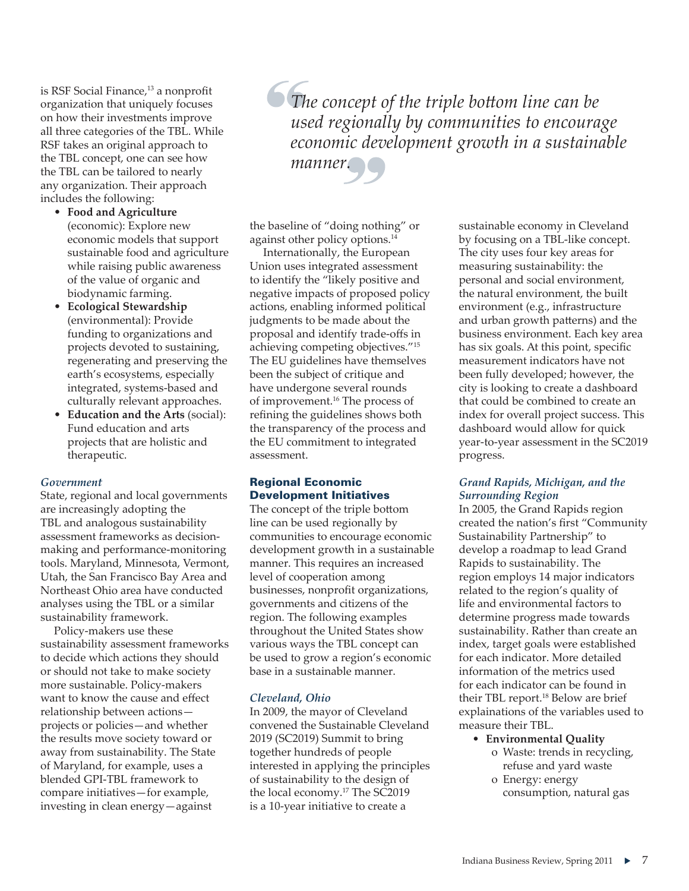is RSF Social Finance,<sup>13</sup> a nonprofit organization that uniquely focuses on how their investments improve all three categories of the TBL. While RSF takes an original approach to the TBL concept, one can see how the TBL can be tailored to nearly any organization. Their approach includes the following:

- **Food and Agriculture**  (economic): Explore new economic models that support sustainable food and agriculture while raising public awareness of the value of organic and biodynamic farming.
- **Ecological Stewardship**  (environmental): Provide funding to organizations and projects devoted to sustaining, regenerating and preserving the earth's ecosystems, especially integrated, systems-based and culturally relevant approaches.
- **Education and the Arts** (social): Fund education and arts projects that are holistic and therapeutic.

# *Government*

State, regional and local governments are increasingly adopting the TBL and analogous sustainability assessment frameworks as decisionmaking and performance-monitoring tools. Maryland, Minnesota, Vermont, Utah, the San Francisco Bay Area and Northeast Ohio area have conducted analyses using the TBL or a similar sustainability framework.

Policy-makers use these sustainability assessment frameworks to decide which actions they should or should not take to make society more sustainable. Policy-makers want to know the cause and effect relationship between actions projects or policies—and whether the results move society toward or away from sustainability. The State of Maryland, for example, uses a blended GPI-TBL framework to compare initiatives—for example, investing in clean energy—against

*The concept of the triple bottom line can be used regionally by communities to encourage economic development growth in a sustainable manner.*

the baseline of "doing nothing" or against other policy options.14

Internationally, the European Union uses integrated assessment to identify the "likely positive and negative impacts of proposed policy actions, enabling informed political judgments to be made about the proposal and identify trade-offs in achieving competing objectives."15 The EU guidelines have themselves been the subject of critique and have undergone several rounds of improvement.<sup>16</sup> The process of refining the guidelines shows both the transparency of the process and the EU commitment to integrated assessment.

# Regional Economic Development Initiatives

The concept of the triple bottom line can be used regionally by communities to encourage economic development growth in a sustainable manner. This requires an increased level of cooperation among businesses, nonprofit organizations, governments and citizens of the region. The following examples throughout the United States show various ways the TBL concept can be used to grow a region's economic base in a sustainable manner.

#### *Cleveland, Ohio*

In 2009, the mayor of Cleveland convened the Sustainable Cleveland 2019 (SC2019) Summit to bring together hundreds of people interested in applying the principles of sustainability to the design of the local economy.17 The SC2019 is a 10-year initiative to create a

sustainable economy in Cleveland by focusing on a TBL-like concept. The city uses four key areas for measuring sustainability: the personal and social environment, the natural environment, the built environment (e.g., infrastructure and urban growth patterns) and the business environment. Each key area has six goals. At this point, specific measurement indicators have not been fully developed; however, the city is looking to create a dashboard that could be combined to create an index for overall project success. This dashboard would allow for quick year-to-year assessment in the SC2019 progress.

# *Grand Rapids, Michigan, and the Surrounding Region*

In 2005, the Grand Rapids region created the nation's first "Community Sustainability Partnership" to develop a roadmap to lead Grand Rapids to sustainability. The region employs 14 major indicators related to the region's quality of life and environmental factors to determine progress made towards sustainability. Rather than create an index, target goals were established for each indicator. More detailed information of the metrics used for each indicator can be found in their TBL report.18 Below are brief explainations of the variables used to measure their TBL.

- **Environmental Quality**
	- o Waste: trends in recycling, refuse and yard waste
	- o Energy: energy consumption, natural gas